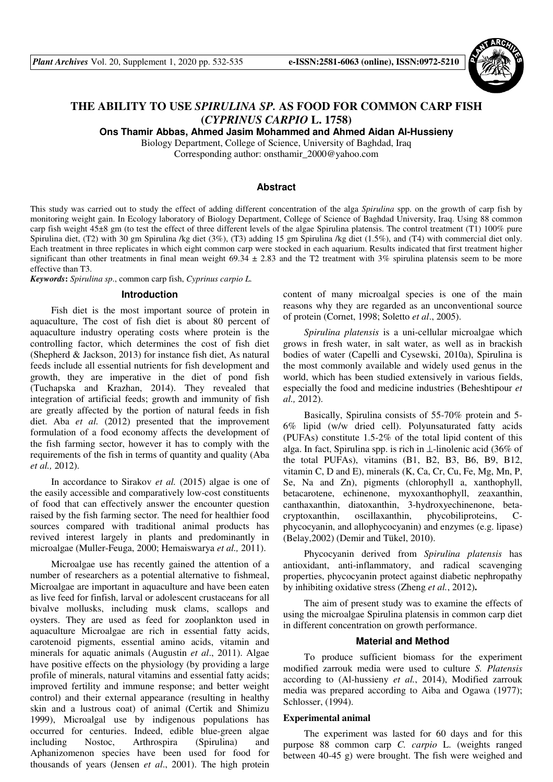

# **THE ABILITY TO USE** *SPIRULINA SP.* **AS FOOD FOR COMMON CARP FISH (***CYPRINUS CARPIO* **L. 1758)**

**Ons Thamir Abbas, Ahmed Jasim Mohammed and Ahmed Aidan Al-Hussieny** 

Biology Department, College of Science, University of Baghdad, Iraq Corresponding author: onsthamir\_2000@yahoo.com

# **Abstract**

This study was carried out to study the effect of adding different concentration of the alga *Spirulina* spp. on the growth of carp fish by monitoring weight gain. In Ecology laboratory of Biology Department, College of Science of Baghdad University, Iraq. Using 88 common carp fish weight 45±8 gm (to test the effect of three different levels of the algae Spirulina platensis. The control treatment (T1) 100% pure Spirulina diet, (T2) with 30 gm Spirulina /kg diet (3%), (T3) adding 15 gm Spirulina /kg diet (1.5%), and (T4) with commercial diet only. Each treatment in three replicates in which eight common carp were stocked in each aquarium. Results indicated that first treatment higher significant than other treatments in final mean weight  $69.34 \pm 2.83$  and the T2 treatment with 3% spirulina platensis seem to be more effective than T3.

*Keywords***:** *Spirulina sp*., common carp fish, *Cyprinus carpio L.*

#### **Introduction**

Fish diet is the most important source of protein in aquaculture, The cost of fish diet is about 80 percent of aquaculture industry operating costs where protein is the controlling factor, which determines the cost of fish diet (Shepherd & Jackson, 2013) for instance fish diet, As natural feeds include all essential nutrients for fish development and growth, they are imperative in the diet of pond fish (Tuchapska and Krazhan, 2014). They revealed that integration of artificial feeds; growth and immunity of fish are greatly affected by the portion of natural feeds in fish diet. Aba *et al.* (2012) presented that the improvement formulation of a food economy affects the development of the fish farming sector, however it has to comply with the requirements of the fish in terms of quantity and quality (Aba *et al.,* 2012).

In accordance to Sirakov *et al.* (2015) algae is one of the easily accessible and comparatively low-cost constituents of food that can effectively answer the encounter question raised by the fish farming sector. The need for healthier food sources compared with traditional animal products has revived interest largely in plants and predominantly in microalgae (Muller-Feuga, 2000; Hemaiswarya *et al.,* 2011).

Microalgae use has recently gained the attention of a number of researchers as a potential alternative to fishmeal, Microalgae are important in aquaculture and have been eaten as live feed for finfish, larval or adolescent crustaceans for all bivalve mollusks, including musk clams, scallops and oysters. They are used as feed for zooplankton used in aquaculture Microalgae are rich in essential fatty acids, carotenoid pigments, essential amino acids, vitamin and minerals for aquatic animals (Augustin *et al*., 2011). Algae have positive effects on the physiology (by providing a large profile of minerals, natural vitamins and essential fatty acids; improved fertility and immune response; and better weight control) and their external appearance (resulting in healthy skin and a lustrous coat) of animal (Certik and Shimizu 1999), Microalgal use by indigenous populations has occurred for centuries. Indeed, edible blue-green algae including Nostoc, Arthrospira (Spirulina) and Aphanizomenon species have been used for food for thousands of years (Jensen *et al*., 2001). The high protein content of many microalgal species is one of the main reasons why they are regarded as an unconventional source of protein (Cornet, 1998; Soletto *et al*., 2005).

*Spirulina platensis* is a uni-cellular microalgae which grows in fresh water, in salt water, as well as in brackish bodies of water (Capelli and Cysewski, 2010a), Spirulina is the most commonly available and widely used genus in the world, which has been studied extensively in various fields, especially the food and medicine industries (Beheshtipour *et al.,* 2012).

Basically, Spirulina consists of 55-70% protein and 5- 6% lipid (w/w dried cell). Polyunsaturated fatty acids (PUFAs) constitute 1.5-2% of the total lipid content of this alga. In fact, Spirulina spp. is rich in ⊥-linolenic acid (36% of the total PUFAs), vitamins (B1, B2, B3, B6, B9, B12, vitamin C, D and E), minerals (K, Ca, Cr, Cu, Fe, Mg, Mn, P, Se, Na and Zn), pigments (chlorophyll a, xanthophyll, betacarotene, echinenone, myxoxanthophyll, zeaxanthin, canthaxanthin, diatoxanthin, 3-hydroxyechinenone, betacryptoxanthin, oscillaxanthin, phycobiliproteins, Cphycocyanin, and allophycocyanin) and enzymes (e.g. lipase) (Belay,2002) (Demir and Tükel, 2010).

Phycocyanin derived from *Spirulina platensis* has antioxidant, anti-inflammatory, and radical scavenging properties, phycocyanin protect against diabetic nephropathy by inhibiting oxidative stress (Zheng *et al.*, 2012).

The aim of present study was to examine the effects of using the microalgae Spirulina platensis in common carp diet in different concentration on growth performance.

## **Material and Method**

To produce sufficient biomass for the experiment modified zarrouk media were used to culture *S. Platensis* according to (Al-hussieny *et al.*, 2014), Modified zarrouk media was prepared according to Aiba and Ogawa (1977); Schlosser, (1994).

## **Experimental animal**

The experiment was lasted for 60 days and for this purpose 88 common carp *C. carpio* L. (weights ranged between 40-45 g) were brought. The fish were weighed and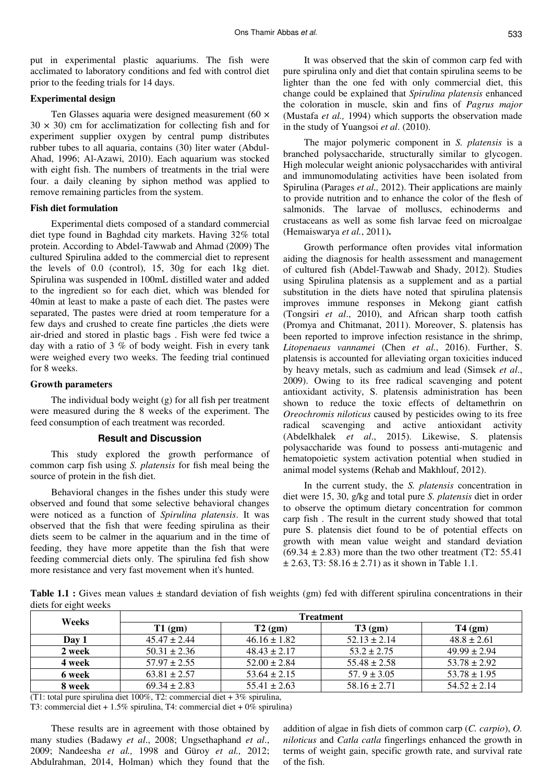put in experimental plastic aquariums. The fish were acclimated to laboratory conditions and fed with control diet prior to the feeding trials for 14 days.

## **Experimental design**

Ten Glasses aquaria were designed measurement (60 ×  $30 \times 30$ ) cm for acclimatization for collecting fish and for experiment supplier oxygen by central pump distributes rubber tubes to all aquaria, contains (30) liter water (Abdul-Ahad, 1996; Al-Azawi, 2010). Each aquarium was stocked with eight fish. The numbers of treatments in the trial were four. a daily cleaning by siphon method was applied to remove remaining particles from the system.

## **Fish diet formulation**

Experimental diets composed of a standard commercial diet type found in Baghdad city markets. Having 32% total protein. According to Abdel-Tawwab and Ahmad (2009) The cultured Spirulina added to the commercial diet to represent the levels of 0.0 (control), 15, 30g for each 1kg diet. Spirulina was suspended in 100mL distilled water and added to the ingredient so for each diet, which was blended for 40min at least to make a paste of each diet. The pastes were separated, The pastes were dried at room temperature for a few days and crushed to create fine particles ,the diets were air-dried and stored in plastic bags . Fish were fed twice a day with a ratio of 3 % of body weight. Fish in every tank were weighed every two weeks. The feeding trial continued for 8 weeks.

# **Growth parameters**

The individual body weight (g) for all fish per treatment were measured during the 8 weeks of the experiment. The feed consumption of each treatment was recorded.

#### **Result and Discussion**

This study explored the growth performance of common carp fish using *S. platensis* for fish meal being the source of protein in the fish diet.

Behavioral changes in the fishes under this study were observed and found that some selective behavioral changes were noticed as a function of *Spirulina platensis*. It was observed that the fish that were feeding spirulina as their diets seem to be calmer in the aquarium and in the time of feeding, they have more appetite than the fish that were feeding commercial diets only. The spirulina fed fish show more resistance and very fast movement when it's hunted.

It was observed that the skin of common carp fed with pure spirulina only and diet that contain spirulina seems to be lighter than the one fed with only commercial diet, this change could be explained that *Spirulina platensis* enhanced the coloration in muscle, skin and fins of *Pagrus major* (Mustafa *et al.,* 1994) which supports the observation made in the study of Yuangsoi *et al*. (2010).

The major polymeric component in *S. platensis* is a branched polysaccharide, structurally similar to glycogen. High molecular weight anionic polysaccharides with antiviral and immunomodulating activities have been isolated from Spirulina (Parages *et al.,* 2012). Their applications are mainly to provide nutrition and to enhance the color of the flesh of salmonids. The larvae of molluscs, echinoderms and crustaceans as well as some fish larvae feed on microalgae (Hemaiswarya *et al.*, 2011).

Growth performance often provides vital information aiding the diagnosis for health assessment and management of cultured fish (Abdel-Tawwab and Shady, 2012). Studies using Spirulina platensis as a supplement and as a partial substitution in the diets have noted that spirulina platensis improves immune responses in Mekong giant catfish (Tongsiri *et al*., 2010), and African sharp tooth catfish (Promya and Chitmanat, 2011). Moreover, S. platensis has been reported to improve infection resistance in the shrimp, *Litopenaeus vannamei* (Chen *et al*., 2016). Further, S. platensis is accounted for alleviating organ toxicities induced by heavy metals, such as cadmium and lead (Simsek *et al*., 2009). Owing to its free radical scavenging and potent antioxidant activity, S. platensis administration has been shown to reduce the toxic effects of deltamethrin on *Oreochromis niloticus* caused by pesticides owing to its free radical scavenging and active antioxidant activity (Abdelkhalek *et al*., 2015). Likewise, S. platensis polysaccharide was found to possess anti-mutagenic and hematopoietic system activation potential when studied in animal model systems (Rehab and Makhlouf, 2012).

In the current study, the *S. platensis* concentration in diet were 15, 30, g/kg and total pure *S. platensis* diet in order to observe the optimum dietary concentration for common carp fish . The result in the current study showed that total pure S. platensis diet found to be of potential effects on growth with mean value weight and standard deviation  $(69.34 \pm 2.83)$  more than the two other treatment (T2: 55.41)  $\pm$  2.63, T3: 58.16  $\pm$  2.71) as it shown in Table 1.1.

**Table 1.1 :** Gives mean values  $\pm$  standard deviation of fish weights (gm) fed with different spirulina concentrations in their diets for eight weeks

| Weeks  | <b>Treatment</b> |                  |                  |                  |
|--------|------------------|------------------|------------------|------------------|
|        | $T1$ (gm)        | $T2$ (gm)        | $T3$ (gm)        | $T4$ (gm)        |
| Dav 1  | $45.47 \pm 2.44$ | $46.16 \pm 1.82$ | $52.13 \pm 2.14$ | $48.8 \pm 2.61$  |
| 2 week | $50.31 \pm 2.36$ | $48.43 \pm 2.17$ | $53.2 + 2.75$    | $49.99 \pm 2.94$ |
| 4 week | $57.97 \pm 2.55$ | $52.00 \pm 2.84$ | $55.48 \pm 2.58$ | $53.78 \pm 2.92$ |
| 6 week | $63.81 \pm 2.57$ | $53.64 \pm 2.15$ | $57.9 \pm 3.05$  | $53.78 \pm 1.95$ |
| 8 week | $69.34 \pm 2.83$ | $55.41 \pm 2.63$ | $58.16 \pm 2.71$ | $54.52 \pm 2.14$ |

(T1: total pure spirulina diet 100%, T2: commercial diet  $+3\%$  spirulina,

T3: commercial diet + 1.5% spirulina, T4: commercial diet + 0% spirulina)

These results are in agreement with those obtained by many studies (Badawy *et al*., 2008; Ungsethaphand *et al*., 2009; Nandeesha *et al.,* 1998 and Güroy *et al.,* 2012; Abdulrahman, 2014, Holman) which they found that the

addition of algae in fish diets of common carp (*C. carpio*), *O. niloticus* and *Catla catla* fingerlings enhanced the growth in terms of weight gain, specific growth rate, and survival rate of the fish.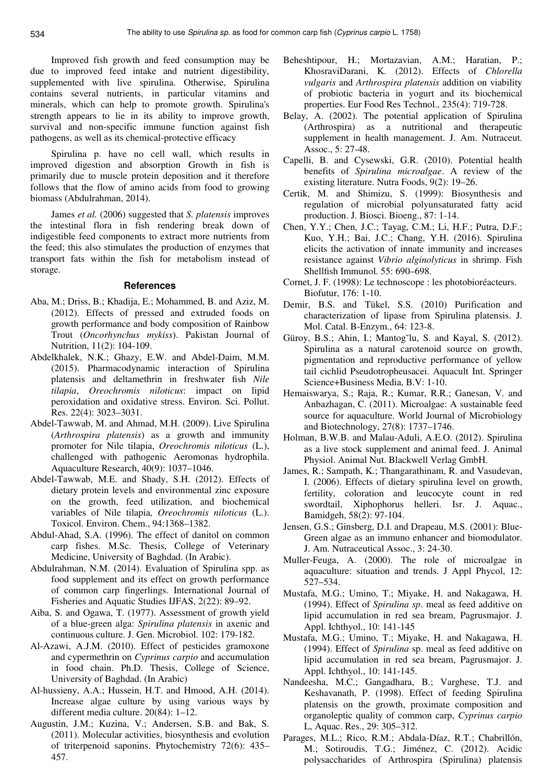Improved fish growth and feed consumption may be due to improved feed intake and nutrient digestibility, supplemented with live spirulina. Otherwise, Spirulina contains several nutrients, in particular vitamins and minerals, which can help to promote growth. Spirulina's strength appears to lie in its ability to improve growth, survival and non-specific immune function against fish pathogens, as well as its chemical-protective efficacy

Spirulina p. have no cell wall, which results in improved digestion and absorption Growth in fish is primarily due to muscle protein deposition and it therefore follows that the flow of amino acids from food to growing biomass (Abdulrahman, 2014).

James *et al.* (2006) suggested that *S. platensis* improves the intestinal flora in fish rendering break down of indigestible feed components to extract more nutrients from the feed; this also stimulates the production of enzymes that transport fats within the fish for metabolism instead of storage.

#### **References**

- Aba, M.; Driss, B.; Khadija, E.; Mohammed, B. and Aziz, M. (2012). Effects of pressed and extruded foods on growth performance and body composition of Rainbow Trout (*Oncorhynchus mykiss*). Pakistan Journal of Nutrition, 11(2): 104-109.
- Abdelkhalek, N.K.; Ghazy, E.W. and Abdel-Daim, M.M. (2015). Pharmacodynamic interaction of Spirulina platensis and deltamethrin in freshwater fish *Nile tilapia*, *Oreochromis niloticus*: impact on lipid peroxidation and oxidative stress. Environ. Sci. Pollut. Res. 22(4): 3023–3031.
- Abdel-Tawwab, M. and Ahmad, M.H. (2009). Live Spirulina (*Arthrospira platensis*) as a growth and immunity promoter for Nile tilapia, *Oreochromis niloticus* (L.), challenged with pathogenic Aeromonas hydrophila. Aquaculture Research, 40(9): 1037–1046.
- Abdel-Tawwab, M.E. and Shady, S.H. (2012). Effects of dietary protein levels and environmental zinc exposure on the growth, feed utilization, and biochemical variables of Nile tilapia, *Oreochromis niloticus* (L.). Toxicol. Environ. Chem., 94:1368–1382.
- Abdul-Ahad, S.A. (1996). The effect of danitol on common carp fishes. M.Sc. Thesis, College of Veterinary Medicine, University of Baghdad. (In Arabic).
- Abdulrahman, N.M. (2014). Evaluation of Spirulina spp. as food supplement and its effect on growth performance of common carp fingerlings. International Journal of Fisheries and Aquatic Studies IJFAS, 2(22): 89–92.
- Aiba, S. and Ogawa, T. (1977). Assessment of growth yield of a blue-green alga: *Spirulina platensis* in axenic and continuous culture. J. Gen. Microbiol. 102: 179-182.
- Al-Azawi, A.J.M. (2010). Effect of pesticides gramoxone and cypermethrin on *Cyprinus carpio* and accumulation in food chain. Ph.D. Thesis, College of Science, University of Baghdad. (In Arabic)
- Al-hussieny, A.A.; Hussein, H.T. and Hmood, A.H. (2014). Increase algae culture by using various ways by different media culture. 20(84): 1–12.
- Augustin, J.M.; Kuzina, V.; Andersen, S.B. and Bak, S. (2011). Molecular activities, biosynthesis and evolution of triterpenoid saponins. Phytochemistry 72(6): 435– 457.
- Beheshtipour, H.; Mortazavian, A.M.; Haratian, P.; KhosraviDarani, K. (2012). Effects of *Chlorella vulgaris* and *Arthrospira platensis* addition on viability of probiotic bacteria in yogurt and its biochemical properties. Eur Food Res Technol., 235(4): 719-728.
- Belay, A. (2002). The potential application of Spirulina (Arthrospira) as a nutritional and therapeutic supplement in health management. J. Am. Nutraceut. Assoc., 5: 27-48.
- Capelli, B. and Cysewski, G.R. (2010). Potential health benefits of *Spirulina microalgae*. A review of the existing literature. Nutra Foods, 9(2): 19–26.
- Certik, M. and Shimizu, S. (1999): Biosynthesis and regulation of microbial polyunsaturated fatty acid production. J. Biosci. Bioeng., 87: 1-14.
- Chen, Y.Y.; Chen, J.C.; Tayag, C.M.; Li, H.F.; Putra, D.F.; Kuo, Y.H.; Bai, J.C.; Chang, Y.H. (2016). Spirulina elicits the activation of innate immunity and increases resistance against *Vibrio alginolyticus* in shrimp. Fish Shellfish Immunol. 55: 690–698.
- Cornet, J. F. (1998): Le technoscope : les photobioréacteurs. Biofutur, 176: 1-10.
- Demir, B.S. and Tükel, S.S. (2010) Purification and characterization of lipase from Spirulina platensis. J. Mol. Catal. B-Enzym., 64: 123-8.
- Güroy, B.S.; Ahin, I.; Mantog˘lu, S. and Kayal, S. (2012). Spirulina as a natural carotenoid source on growth, pigmentation and reproductive performance of yellow tail cichlid Pseudotropheusacei. Aquacult Int. Springer Science+Business Media, B.V: 1-10.
- Hemaiswarya, S.; Raja, R.; Kumar, R.R.; Ganesan, V. and Anbazhagan, C. (2011). Microalgae: A sustainable feed source for aquaculture. World Journal of Microbiology and Biotechnology, 27(8): 1737–1746.
- Holman, B.W.B. and Malau-Aduli, A.E.O. (2012). Spirulina as a live stock supplement and animal feed. J. Animal Physiol. Animal Nut. Blackwell Verlag GmbH.
- James, R.; Sampath, K.; Thangarathinam, R. and Vasudevan, I. (2006). Effects of dietary spirulina level on growth, fertility, coloration and leucocyte count in red swordtail, Xiphophorus helleri. Isr. J. Aquac., Bamidgeh, 58(2): 97-104.
- Jensen, G.S.; Ginsberg, D.I. and Drapeau, M.S. (2001): Blue-Green algae as an immuno enhancer and biomodulator. J. Am. Nutraceutical Assoc., 3: 24-30.
- Muller-Feuga, A. (2000). The role of microalgae in aquaculture: situation and trends. J Appl Phycol, 12: 527–534.
- Mustafa, M.G.; Umino, T.; Miyake, H. and Nakagawa, H. (1994). Effect of *Spirulina sp*. meal as feed additive on lipid accumulation in red sea bream, Pagrusmajor. J. Appl. Ichthyol., 10: 141-145
- Mustafa, M.G.; Umino, T.; Miyake, H. and Nakagawa, H. (1994). Effect of *Spirulina* sp. meal as feed additive on lipid accumulation in red sea bream, Pagrusmajor. J. Appl. Ichthyol., 10: 141-145.
- Nandeesha, M.C.; Gangadhara, B.; Varghese, T.J. and Keshavanath, P. (1998). Effect of feeding Spirulina platensis on the growth, proximate composition and organoleptic quality of common carp, *Cyprinus carpio*  L, Aquac. Res., 29: 305–312.
- Parages, M.L.; Rico, R.M.; Abdala-Díaz, R.T.; Chabrillón, M.; Sotiroudis, T.G.; Jiménez, C. (2012). Acidic polysaccharides of Arthrospira (Spirulina) platensis